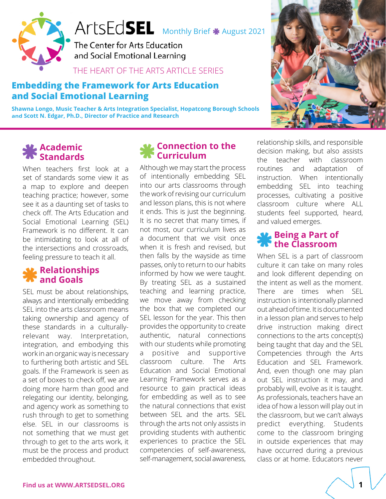



The Center for Arts Education and Social Emotional Learning

### THE HEART OF THE ARTS ARTICLE SERIES

### **Embedding the Framework for Arts Education and Social Emotional Learning**

**Shawna Longo, Music Teacher & Arts Integration Specialist, Hopatcong Borough Schools and Scott N. Edgar, Ph.D., Director of Practice and Research**



#### **Academic Standards**

When teachers first look at a set of standards some view it as a map to explore and deepen teaching practice; however, some see it as a daunting set of tasks to check off. The Arts Education and Social Emotional Learning (SEL) Framework is no different. It can be intimidating to look at all of the intersections and crossroads, feeling pressure to teach it all.

#### **Relationships and Goals**

SEL must be about relationships, always and intentionally embedding SEL into the arts classroom means taking ownership and agency of these standards in a culturallyrelevant way. Interpretation, integration, and embodying this work in an organic way is necessary to furthering both artistic and SEL goals. If the Framework is seen as a set of boxes to check off, we are doing more harm than good and relegating our identity, belonging, and agency work as something to rush through to get to something else. SEL in our classrooms is not something that we must get through to get to the arts work, it must be the process and product embedded throughout.

### **Connection to the Curriculum**

Although we may start the process of intentionally embedding SEL into our arts classrooms through the work of revising our curriculum and lesson plans, this is not where it ends. This is just the beginning. It is no secret that many times, if not most, our curriculum lives as a document that we visit once when it is fresh and revised, but then falls by the wayside as time passes, only to return to our habits informed by how we were taught. By treating SEL as a sustained teaching and learning practice, we move away from checking the box that we completed our SEL lesson for the year. This then provides the opportunity to create authentic, natural connections with our students while promoting a positive and supportive classroom culture. The Arts Education and Social Emotional Learning Framework serves as a resource to gain practical ideas for embedding as well as to see the natural connections that exist between SEL and the arts. SEL through the arts not only assists in providing students with authentic experiences to practice the SEL competencies of self-awareness, self-management, social awareness,

relationship skills, and responsible decision making, but also assists the teacher with classroom routines and adaptation of instruction. When intentionally embedding SEL into teaching processes, cultivating a positive classroom culture where ALL students feel supported, heard, and valued emerges.

### **Being a Part of the Classroom**

When SEL is a part of classroom culture it can take on many roles and look different depending on the intent as well as the moment. There are times when SEL instruction is intentionally planned out ahead of time. It is documented in a lesson plan and serves to help drive instruction making direct connections to the arts concept(s) being taught that day and the SEL Competencies through the Arts Education and SEL Framework. And, even though one may plan out SEL instruction it may, and probably will, evolve as it is taught. As professionals, teachers have an idea of how a lesson will play out in the classroom, but we can't always predict everything. Students come to the classroom bringing in outside experiences that may have occurred during a previous class or at home. Educators never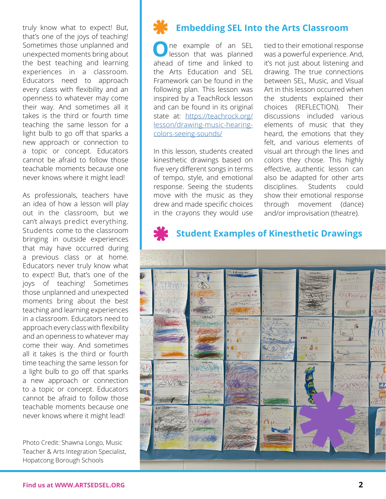truly know what to expect! But, that's one of the joys of teaching! Sometimes those unplanned and unexpected moments bring about the best teaching and learning experiences in a classroom. Educators need to approach every class with flexibility and an openness to whatever may come their way. And sometimes all it takes is the third or fourth time teaching the same lesson for a light bulb to go off that sparks a new approach or connection to a topic or concept. Educators cannot be afraid to follow those teachable moments because one never knows where it might lead!

As professionals, teachers have an idea of how a lesson will play out in the classroom, but we can't always predict everything. Students come to the classroom bringing in outside experiences that may have occurred during a previous class or at home. Educators never truly know what to expect! But, that's one of the joys of teaching! Sometimes those unplanned and unexpected moments bring about the best teaching and learning experiences in a classroom. Educators need to approach every class with flexibility and an openness to whatever may come their way. And sometimes all it takes is the third or fourth time teaching the same lesson for a light bulb to go off that sparks a new approach or connection to a topic or concept. Educators cannot be afraid to follow those teachable moments because one never knows where it might lead!

Photo Credit: Shawna Longo, Music Teacher & Arts Integration Specialist, Hopatcong Borough Schools

### **Embedding SEL Into the Arts Classroom**

**O**ne example of an SEL lesson that was planned ahead of time and linked to the Arts Education and SEL Framework can be found in the following plan. This lesson was inspired by a TeachRock lesson and can be found in its original state at: [https://teachrock.org/](https://teachrock.org/lesson/drawing-music-hearing-colors-seeing-sounds/) [lesson/drawing-music-hearing](https://teachrock.org/lesson/drawing-music-hearing-colors-seeing-sounds/)[colors-seeing-sounds/](https://teachrock.org/lesson/drawing-music-hearing-colors-seeing-sounds/)

In this lesson, students created kinesthetic drawings based on five very different songs in terms of tempo, style, and emotional response. Seeing the students move with the music as they drew and made specific choices in the crayons they would use

tied to their emotional response was a powerful experience. And, it's not just about listening and drawing. The true connections between SEL, Music, and Visual Art in this lesson occurred when the students explained their choices (REFLECTION). Their discussions included various elements of music that they heard, the emotions that they felt, and various elements of visual art through the lines and colors they chose. This highly effective, authentic lesson can also be adapted for other arts disciplines. Students could show their emotional response through movement (dance) and/or improvisation (theatre).

## $7.98$ **AMARTI** AD **XXXXXXXXX** Ranchester DAN DICK **MOONMANY ROOM** Maria 1 R. ADAA **XIV SEF** E. **With the TOOM**

## **Student Examples of Kinesthetic Drawings**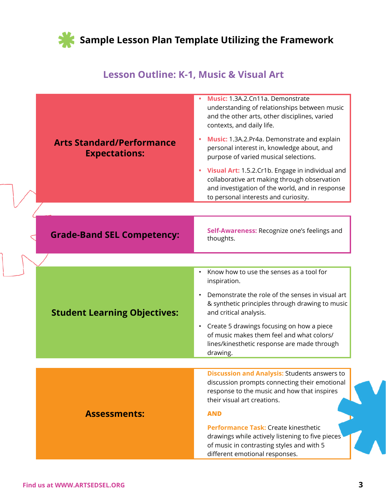

### **Lesson Outline: K-1, Music & Visual Art**

|                                                          | Music: 1.3A.2.Cn11a. Demonstrate<br>understanding of relationships between music<br>and the other arts, other disciplines, varied<br>contexts, and daily life.                                    |
|----------------------------------------------------------|---------------------------------------------------------------------------------------------------------------------------------------------------------------------------------------------------|
| <b>Arts Standard/Performance</b><br><b>Expectations:</b> | Music: 1.3A.2.Pr4a. Demonstrate and explain<br>۰<br>personal interest in, knowledge about, and<br>purpose of varied musical selections.                                                           |
|                                                          | Visual Art: 1.5.2. Cr1b. Engage in individual and<br>٠<br>collaborative art making through observation<br>and investigation of the world, and in response<br>to personal interests and curiosity. |
|                                                          |                                                                                                                                                                                                   |
| <b>Grade-Band SEL Competency:</b>                        | Self-Awareness: Recognize one's feelings and<br>thoughts.                                                                                                                                         |
|                                                          |                                                                                                                                                                                                   |
|                                                          | Know how to use the senses as a tool for<br>$\bullet$<br>inspiration.                                                                                                                             |
| <b>Student Learning Objectives:</b>                      | Demonstrate the role of the senses in visual art<br>$\bullet$<br>& synthetic principles through drawing to music<br>and critical analysis.                                                        |
|                                                          | Create 5 drawings focusing on how a piece<br>$\bullet$<br>of music makes them feel and what colors/<br>lines/kinesthetic response are made through<br>drawing.                                    |
|                                                          |                                                                                                                                                                                                   |
|                                                          | <b>Discussion and Analysis: Students answers to</b><br>discussion prompts connecting their emotional<br>response to the music and how that inspires<br>their visual art creations.                |
| <b>Assessments:</b>                                      | <b>AND</b>                                                                                                                                                                                        |
|                                                          | Performance Task: Create kinesthetic<br>drawings while actively listening to five pieces<br>of music in contrasting styles and with 5<br>different emotional responses.                           |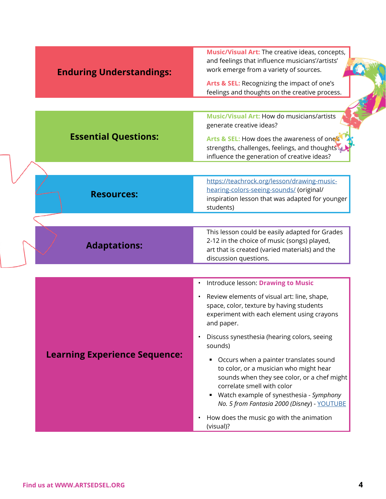| <b>Enduring Understandings:</b>      | Music/Visual Art: The creative ideas, concepts,<br>and feelings that influence musicians'/artists'<br>work emerge from a variety of sources.                                                                                                                                |
|--------------------------------------|-----------------------------------------------------------------------------------------------------------------------------------------------------------------------------------------------------------------------------------------------------------------------------|
|                                      | Arts & SEL: Recognizing the impact of one's<br>feelings and thoughts on the creative process.                                                                                                                                                                               |
|                                      |                                                                                                                                                                                                                                                                             |
|                                      | Music/Visual Art: How do musicians/artists<br>generate creative ideas?                                                                                                                                                                                                      |
| <b>Essential Questions:</b>          | Arts & SEL: How does the awareness of one's<br>strengths, challenges, feelings, and thoughts<br>influence the generation of creative ideas?                                                                                                                                 |
|                                      |                                                                                                                                                                                                                                                                             |
| <b>Resources:</b>                    | https://teachrock.org/lesson/drawing-music-<br>hearing-colors-seeing-sounds/ (original/<br>inspiration lesson that was adapted for younger<br>students)                                                                                                                     |
|                                      |                                                                                                                                                                                                                                                                             |
| <b>Adaptations:</b>                  | This lesson could be easily adapted for Grades<br>2-12 in the choice of music (songs) played,<br>art that is created (varied materials) and the<br>discussion questions.                                                                                                    |
|                                      |                                                                                                                                                                                                                                                                             |
|                                      | Introduce lesson: Drawing to Music<br>$\bullet$                                                                                                                                                                                                                             |
|                                      | • Review elements of visual art: line, shape,<br>space, color, texture by having students<br>experiment with each element using crayons<br>and paper.                                                                                                                       |
|                                      | Discuss synesthesia (hearing colors, seeing<br>sounds)                                                                                                                                                                                                                      |
| <b>Learning Experience Sequence:</b> | Occurs when a painter translates sound<br>$\blacksquare$<br>to color, or a musician who might hear<br>sounds when they see color, or a chef might<br>correlate smell with color<br>■ Watch example of synesthesia - Symphony<br>No. 5 from Fantasia 2000 (Disney) - YOUTUBE |
|                                      | How does the music go with the animation<br>(visual)?                                                                                                                                                                                                                       |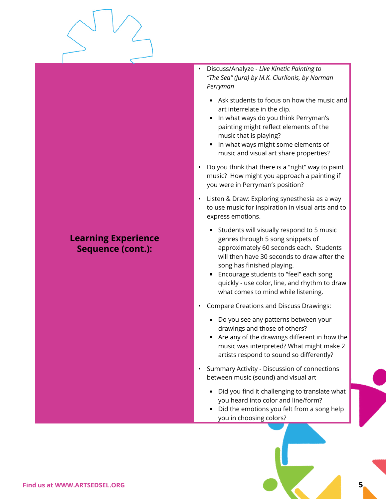### **Learning Experience Sequence (cont.):**

• Discuss/Analyze - *Live Kinetic Painting to "The Sea" (Jura) by M.K. Ciurlionis, by Norman Perryman*

**Lesson Outline: K-1, Music & Visual Art**

- Ask students to focus on how the music and art interrelate in the clip.
- In what ways do you think Perryman's painting might reflect elements of the music that is playing?
- In what ways might some elements of music and visual art share properties?
- Do you think that there is a "right" way to paint music? How might you approach a painting if you were in Perryman's position?
- Listen & Draw: Exploring synesthesia as a way to use music for inspiration in visual arts and to express emotions.
	- Students will visually respond to 5 music genres through 5 song snippets of approximately 60 seconds each. Students will then have 30 seconds to draw after the song has finished playing.
	- Encourage students to "feel" each song quickly - use color, line, and rhythm to draw what comes to mind while listening.
- Compare Creations and Discuss Drawings:
	- Do you see any patterns between your drawings and those of others?
	- Are any of the drawings different in how the music was interpreted? What might make 2 artists respond to sound so differently?
- Summary Activity Discussion of connections between music (sound) and visual art
	- Did you find it challenging to translate what you heard into color and line/form?
	- Did the emotions you felt from a song help you in choosing colors?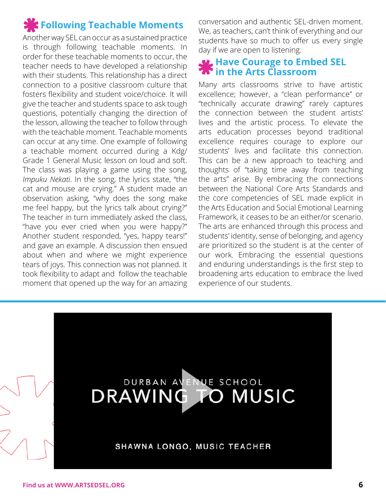# **Following Teachable Moments**

Another way SEL can occur as a sustained practice is through following teachable moments. In order for these teachable moments to occur, the teacher needs to have developed a relationship with their students. This relationship has a direct connection to a positive classroom culture that fosters flexibility and student voice/choice. It will give the teacher and students space to ask tough questions, potentially changing the direction of the lesson, allowing the teacher to follow through with the teachable moment. Teachable moments can occur at any time. One example of following a teachable moment occurred during a Kdg/ Grade 1 General Music lesson on loud and soft. The class was playing a game using the song, *Impuku Nekati*. In the song, the lyrics state, "the cat and mouse are crying." A student made an observation asking, "why does the song make me feel happy, but the lyrics talk about crying?" The teacher in turn immediately asked the class, "have you ever cried when you were happy?" Another student responded, "yes, happy tears!" and gave an example. A discussion then ensued about when and where we might experience tears of joys. This connection was not planned. It took flexibility to adapt and follow the teachable moment that opened up the way for an amazing

conversation and authentic SEL-driven moment. We, as teachers, can't think of everything and our students have so much to offer us every single day if we are open to listening.

### **Have Courage to Embed SEL in the Arts Classroom**

Many arts classrooms strive to have artistic excellence; however, a "clean performance" or "technically accurate drawing" rarely captures the connection between the student artists' lives and the artistic process. To elevate the arts education processes beyond traditional excellence requires courage to explore our students' lives and facilitate this connection. This can be a new approach to teaching and thoughts of "taking time away from teaching the arts" arise. By embracing the connections between the National Core Arts Standards and the core competencies of SEL made explicit in the Arts Education and Social Emotional Learning Framework, it ceases to be an either/or scenario. The arts are enhanced through this process and students' identity, sense of belonging, and agency are prioritized so the student is at the center of our work. Embracing the essential questions and enduring understandings is the first step to broadening arts education to embrace the lived experience of our students.